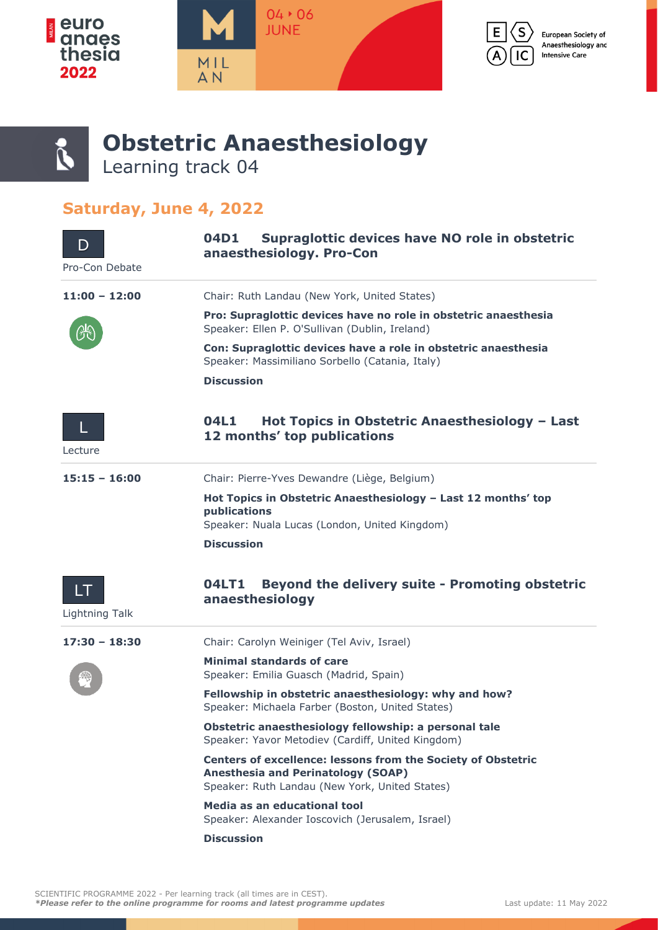







## **Obstetric Anaesthesiology** Learning track 04

## **Saturday, June 4, 2022**

| D<br>Pro-Con Debate  | Supraglottic devices have NO role in obstetric<br>04D1<br>anaesthesiology. Pro-Con                                                                                 |
|----------------------|--------------------------------------------------------------------------------------------------------------------------------------------------------------------|
| $11:00 - 12:00$      | Chair: Ruth Landau (New York, United States)                                                                                                                       |
|                      | Pro: Supraglottic devices have no role in obstetric anaesthesia<br>Speaker: Ellen P. O'Sullivan (Dublin, Ireland)                                                  |
|                      | Con: Supraglottic devices have a role in obstetric anaesthesia<br>Speaker: Massimiliano Sorbello (Catania, Italy)                                                  |
|                      | <b>Discussion</b>                                                                                                                                                  |
| Lecture              | 04L1<br>Hot Topics in Obstetric Anaesthesiology - Last<br>12 months' top publications                                                                              |
| $15:15 - 16:00$      | Chair: Pierre-Yves Dewandre (Liège, Belgium)                                                                                                                       |
|                      | Hot Topics in Obstetric Anaesthesiology - Last 12 months' top<br>publications<br>Speaker: Nuala Lucas (London, United Kingdom)                                     |
|                      | <b>Discussion</b>                                                                                                                                                  |
| LT<br>Lightning Talk | <b>Beyond the delivery suite - Promoting obstetric</b><br>04LT1<br>anaesthesiology                                                                                 |
| $17:30 - 18:30$      | Chair: Carolyn Weiniger (Tel Aviv, Israel)                                                                                                                         |
|                      | <b>Minimal standards of care</b><br>Speaker: Emilia Guasch (Madrid, Spain)                                                                                         |
|                      | Fellowship in obstetric anaesthesiology: why and how?<br>Speaker: Michaela Farber (Boston, United States)                                                          |
|                      | Obstetric anaesthesiology fellowship: a personal tale<br>Speaker: Yavor Metodiev (Cardiff, United Kingdom)                                                         |
|                      | <b>Centers of excellence: lessons from the Society of Obstetric</b><br><b>Anesthesia and Perinatology (SOAP)</b><br>Speaker: Ruth Landau (New York, United States) |
|                      | Media as an educational tool<br>Speaker: Alexander Ioscovich (Jerusalem, Israel)                                                                                   |
|                      | <b>Discussion</b>                                                                                                                                                  |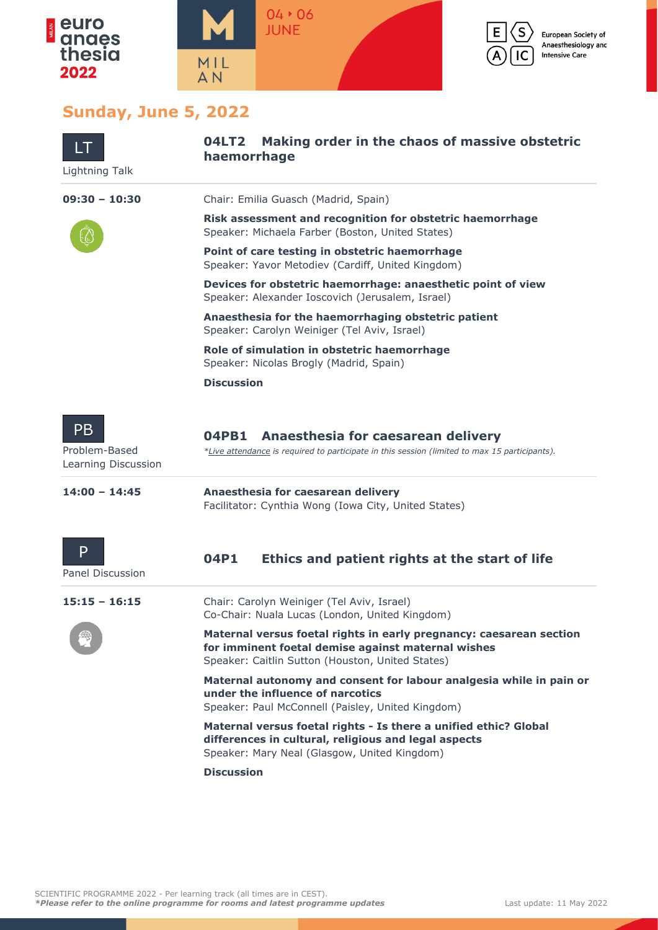



European Society of Anaesthesiology and **Intensive Care** 

## **Sunday, June 5, 2022**

| LT<br>Lightning Talk                              | Making order in the chaos of massive obstetric<br><b>04LT2</b><br>haemorrhage                                                                                                 |
|---------------------------------------------------|-------------------------------------------------------------------------------------------------------------------------------------------------------------------------------|
| $09:30 - 10:30$                                   | Chair: Emilia Guasch (Madrid, Spain)                                                                                                                                          |
|                                                   | Risk assessment and recognition for obstetric haemorrhage<br>Speaker: Michaela Farber (Boston, United States)                                                                 |
|                                                   | Point of care testing in obstetric haemorrhage<br>Speaker: Yavor Metodiev (Cardiff, United Kingdom)                                                                           |
|                                                   | Devices for obstetric haemorrhage: anaesthetic point of view<br>Speaker: Alexander Ioscovich (Jerusalem, Israel)                                                              |
|                                                   | Anaesthesia for the haemorrhaging obstetric patient<br>Speaker: Carolyn Weiniger (Tel Aviv, Israel)                                                                           |
|                                                   | Role of simulation in obstetric haemorrhage<br>Speaker: Nicolas Brogly (Madrid, Spain)                                                                                        |
|                                                   | <b>Discussion</b>                                                                                                                                                             |
| <b>PB</b><br>Problem-Based<br>Learning Discussion | 04PB1<br>Anaesthesia for caesarean delivery<br>*Live attendance is required to participate in this session (limited to max 15 participants).                                  |
| $14:00 - 14:45$                                   | Anaesthesia for caesarean delivery<br>Facilitator: Cynthia Wong (Iowa City, United States)                                                                                    |
| P<br><b>Panel Discussion</b>                      | Ethics and patient rights at the start of life<br>04P1                                                                                                                        |
| $15:15 - 16:15$                                   | Chair: Carolyn Weiniger (Tel Aviv, Israel)<br>Co-Chair: Nuala Lucas (London, United Kingdom)                                                                                  |
|                                                   | Maternal versus foetal rights in early pregnancy: caesarean section<br>for imminent foetal demise against maternal wishes<br>Speaker: Caitlin Sutton (Houston, United States) |
|                                                   | Maternal autonomy and consent for labour analgesia while in pain or<br>under the influence of narcotics<br>Speaker: Paul McConnell (Paisley, United Kingdom)                  |
|                                                   | Maternal versus foetal rights - Is there a unified ethic? Global<br>differences in cultural, religious and legal aspects<br>Speaker: Mary Neal (Glasgow, United Kingdom)      |
|                                                   | <b>Discussion</b>                                                                                                                                                             |